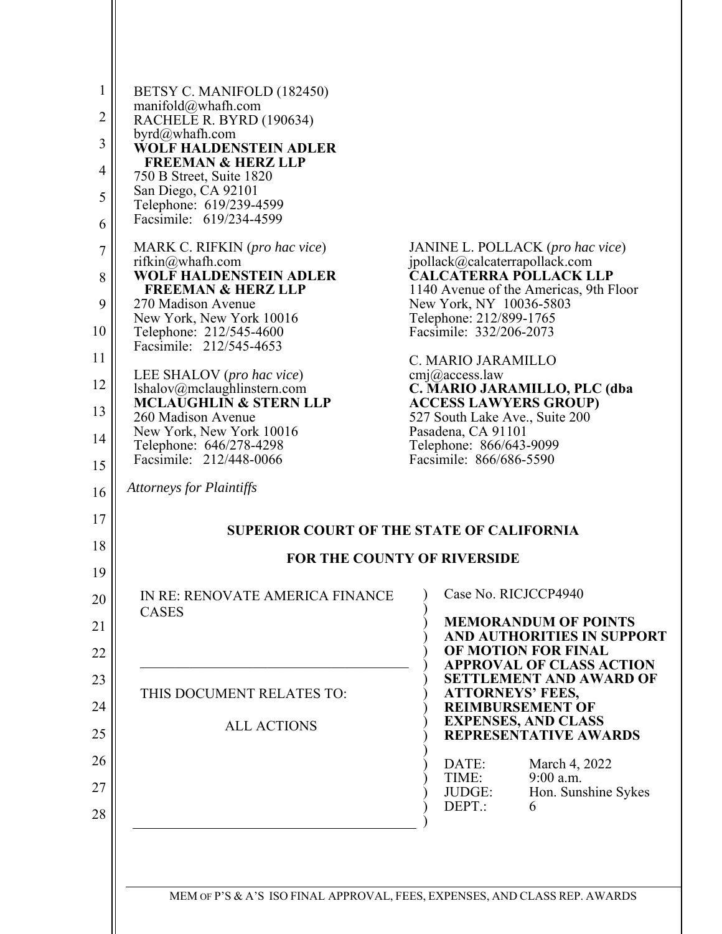| $\mathbf{1}$ | BETSY C. MANIFOLD (182450)                                |                                                                   |  |  |
|--------------|-----------------------------------------------------------|-------------------------------------------------------------------|--|--|
| 2            | manifold@whath.com<br>RACHELE R. BYRD (190634)            |                                                                   |  |  |
| 3            | byrd@whafh.com<br><b>WOLF HALDENSTEIN ADLER</b>           |                                                                   |  |  |
| 4            | <b>FREEMAN &amp; HERZ LLP</b><br>750 B Street, Suite 1820 |                                                                   |  |  |
| 5            | San Diego, CA 92101<br>Telephone: 619/239-4599            |                                                                   |  |  |
| 6            | Facsimile: 619/234-4599                                   |                                                                   |  |  |
| 7            | MARK C. RIFKIN (pro hac vice)                             | JANINE L. POLLACK (pro hac vice)                                  |  |  |
| 8            | rifkin $@$ whafh.com<br><b>WOLF HALDENSTEIN ADLER</b>     | jpollack@calcaterrapollack.com<br><b>CALCATERRA POLLACK LLP</b>   |  |  |
| 9            | <b>FREEMAN &amp; HERZ LLP</b><br>270 Madison Avenue       | 1140 Avenue of the Americas, 9th Floor<br>New York, NY 10036-5803 |  |  |
| 10           | New York, New York 10016<br>Telephone: 212/545-4600       | Telephone: 212/899-1765<br>Facsimile: 332/206-2073                |  |  |
| 11           | Facsimile: 212/545-4653                                   | C. MARIO JARAMILLO                                                |  |  |
| 12           | LEE SHALOV (pro hac vice)<br>lshalov@mclaughlinstern.com  | cmj@access.law<br>C. MARIO JARAMILLO, PLC (dba                    |  |  |
| 13           | <b>MCLAUGHLIN &amp; STERN LLP</b><br>260 Madison Avenue   | <b>ACCESS LAWYERS GROUP)</b><br>527 South Lake Ave., Suite 200    |  |  |
| 14           | New York, New York 10016<br>Telephone: 646/278-4298       | Pasadena, CA 91101<br>Telephone: 866/643-9099                     |  |  |
| 15           | Facsimile: 212/448-0066                                   | Facsimile: 866/686-5590                                           |  |  |
| 16           | <b>Attorneys for Plaintiffs</b>                           |                                                                   |  |  |
| 17           |                                                           |                                                                   |  |  |
| 18           | <b>SUPERIOR COURT OF THE STATE OF CALIFORNIA</b>          |                                                                   |  |  |
| 19           | <b>FOR THE COUNTY OF RIVERSIDE</b>                        |                                                                   |  |  |
| 20           | IN RE: RENOVATE AMERICA FINANCE<br><b>CASES</b>           | Case No. RICJCCP4940                                              |  |  |
| 21           |                                                           | <b>MEMORANDUM OF POINTS</b><br><b>AND AUTHORITIES IN SUPPORT</b>  |  |  |
| 22           |                                                           | OF MOTION FOR FINAL<br><b>APPROVAL OF CLASS ACTION</b>            |  |  |
| 23           | THIS DOCUMENT RELATES TO:                                 | <b>SETTLEMENT AND AWARD OF</b><br><b>ATTORNEYS' FEES,</b>         |  |  |
| 24           |                                                           | <b>REIMBURSEMENT OF</b>                                           |  |  |
| 25           | <b>ALL ACTIONS</b>                                        | <b>EXPENSES, AND CLASS</b><br><b>REPRESENTATIVE AWARDS</b>        |  |  |
| 26           |                                                           | DATE:<br>March 4, 2022                                            |  |  |
| 27           |                                                           | 9:00 a.m.<br>TIME:<br>JUDGE:<br>Hon. Sunshine Sykes               |  |  |
| 28           |                                                           | DEPT.:<br>6                                                       |  |  |
|              |                                                           |                                                                   |  |  |

MEM OF P'S & A'S ISO FINAL APPROVAL, FEES, EXPENSES, AND CLASS REP. AWARDS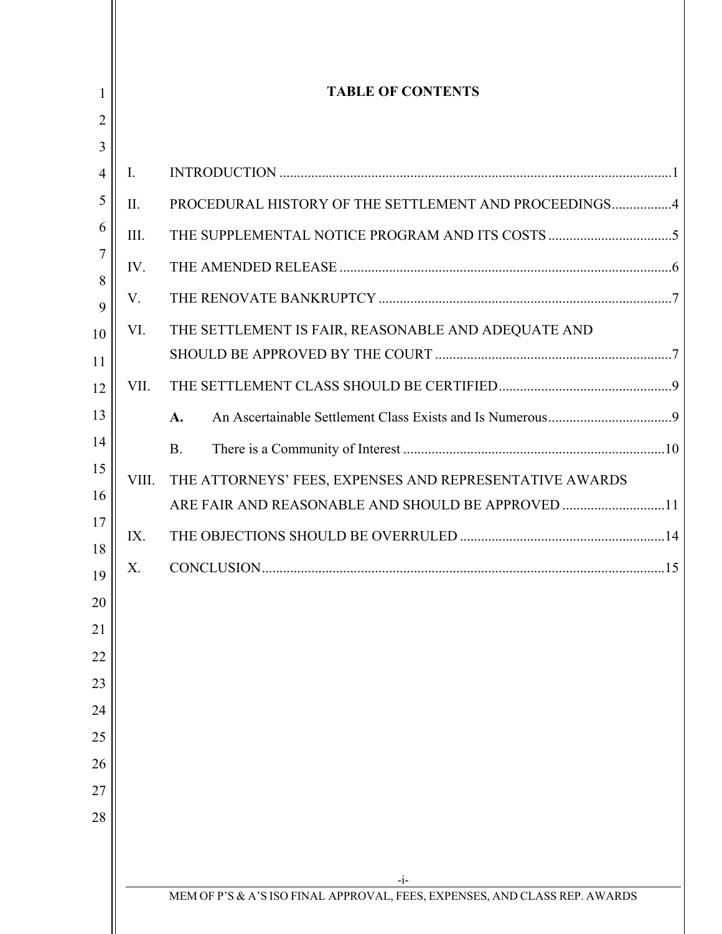| <b>TABLE OF CONTENTS</b> |                                                                                                              |  |
|--------------------------|--------------------------------------------------------------------------------------------------------------|--|
|                          |                                                                                                              |  |
| $\mathbf{I}$ .           |                                                                                                              |  |
| II.                      | PROCEDURAL HISTORY OF THE SETTLEMENT AND PROCEEDINGS4                                                        |  |
| III.                     |                                                                                                              |  |
| IV.                      |                                                                                                              |  |
| V.                       |                                                                                                              |  |
| VI.                      | THE SETTLEMENT IS FAIR, REASONABLE AND ADEQUATE AND                                                          |  |
| VII.                     |                                                                                                              |  |
|                          | A.                                                                                                           |  |
|                          | <b>B.</b>                                                                                                    |  |
| VIII.                    | THE ATTORNEYS' FEES, EXPENSES AND REPRESENTATIVE AWARDS<br>ARE FAIR AND REASONABLE AND SHOULD BE APPROVED 11 |  |
| IX.                      |                                                                                                              |  |
| X.                       | CONCLUSION                                                                                                   |  |
|                          |                                                                                                              |  |
|                          |                                                                                                              |  |
|                          |                                                                                                              |  |
|                          |                                                                                                              |  |
|                          |                                                                                                              |  |
|                          |                                                                                                              |  |
|                          |                                                                                                              |  |
|                          |                                                                                                              |  |
|                          | $-i-$                                                                                                        |  |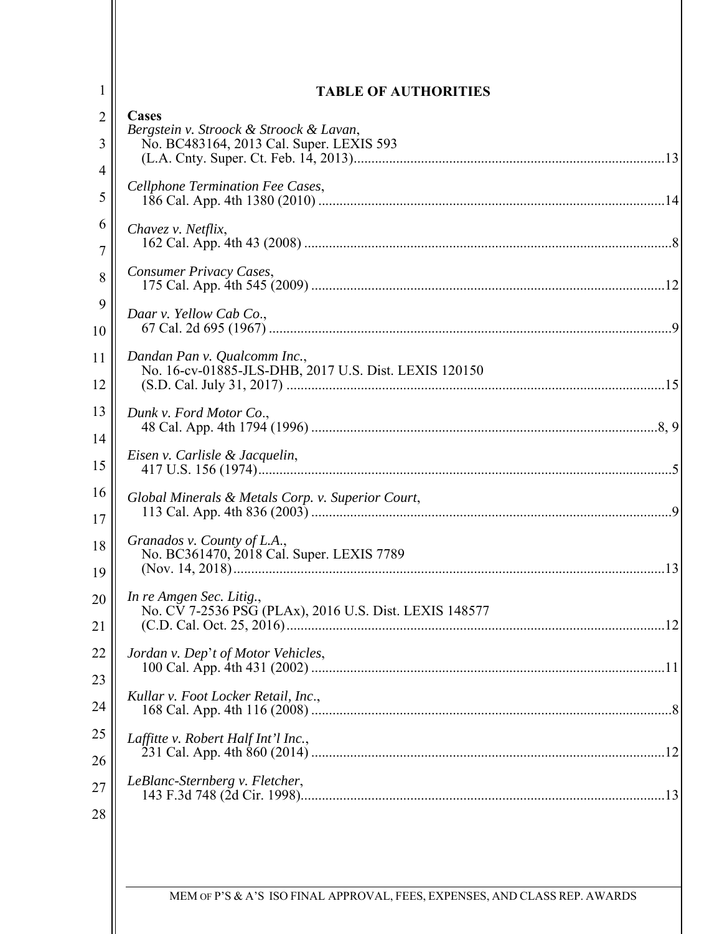| 1              | <b>TABLE OF AUTHORITIES</b>                                                         |  |  |
|----------------|-------------------------------------------------------------------------------------|--|--|
| $\overline{2}$ | Cases                                                                               |  |  |
| 3              | Bergstein v. Stroock & Stroock & Lavan,<br>No. BC483164, 2013 Cal. Super. LEXIS 593 |  |  |
| 4              |                                                                                     |  |  |
| 5              | Cellphone Termination Fee Cases,                                                    |  |  |
| 6              | Chavez v. Netflix,                                                                  |  |  |
| 7              | Consumer Privacy Cases,                                                             |  |  |
| 8              |                                                                                     |  |  |
| 9<br>10        | Daar v. Yellow Cab Co.,<br>9                                                        |  |  |
| 11             | Dandan Pan v. Qualcomm Inc.,                                                        |  |  |
| 12             | No. 16-cv-01885-JLS-DHB, 2017 U.S. Dist. LEXIS 120150                               |  |  |
| 13             | Dunk v. Ford Motor Co.,                                                             |  |  |
| 14             |                                                                                     |  |  |
| 15             | Eisen v. Carlisle & Jacquelin,                                                      |  |  |
| 16             | Global Minerals & Metals Corp. v. Superior Court,                                   |  |  |
| 17             | $\mathbf Q$                                                                         |  |  |
| 18<br>19       | Granados v. County of L.A.,<br>No. BC361470, 2018 Cal. Super. LEXIS 7789            |  |  |
| 20             | In re Amgen Sec. Litig.,                                                            |  |  |
| 21             | No. CV 7-2536 PSG (PLAx), 2016 U.S. Dist. LEXIS 148577                              |  |  |
|                |                                                                                     |  |  |
| 22<br>23       | Jordan v. Dep't of Motor Vehicles,                                                  |  |  |
| 24             | Kullar v. Foot Locker Retail, Inc.,                                                 |  |  |
| 25             |                                                                                     |  |  |
| 26             | Laffitte v. Robert Half Int'l Inc.,                                                 |  |  |
| 27             | LeBlanc-Sternberg v. Fletcher,                                                      |  |  |
| 28             |                                                                                     |  |  |
|                |                                                                                     |  |  |
|                |                                                                                     |  |  |
|                | MEM OF P'S & A'S ISO FINAL APPROVAL, FEES, EXPENSES, AND CLASS REP. AWARDS          |  |  |
|                |                                                                                     |  |  |

 $\mathsf{l}$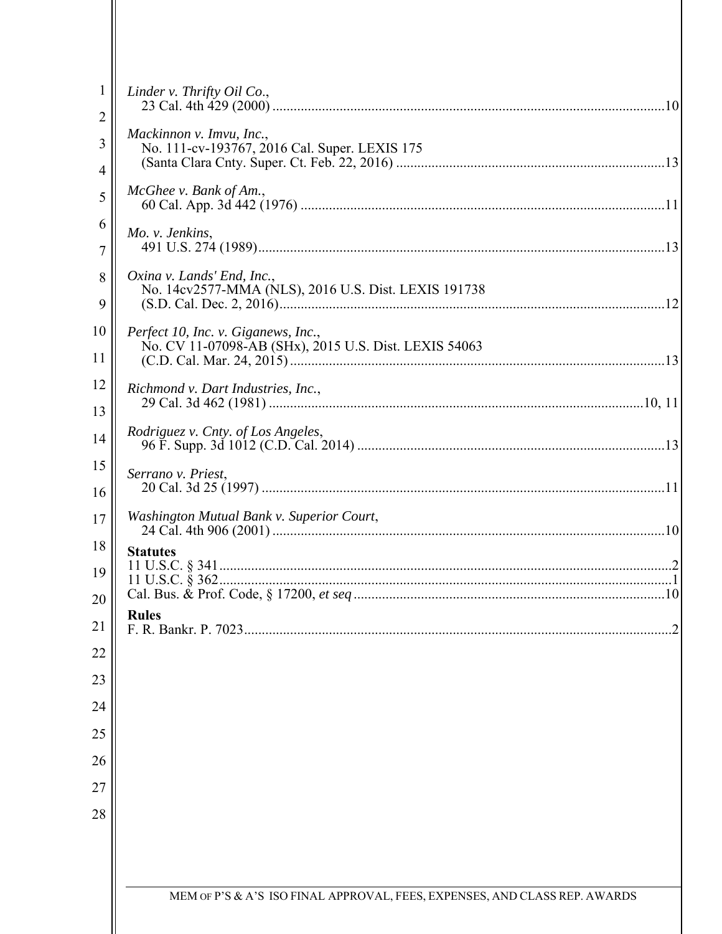| $\mathbf{1}$<br>$\overline{c}$ | Linder v. Thrifty Oil Co.,                                                                   |  |
|--------------------------------|----------------------------------------------------------------------------------------------|--|
| 3<br>4                         | Mackinnon v. Imvu, Inc.,<br>No. 111-cv-193767, 2016 Cal. Super. LEXIS 175                    |  |
| 5                              | McGhee v. Bank of Am.,                                                                       |  |
| 6<br>7                         | Mo. v. Jenkins,                                                                              |  |
| 8<br>9                         | Oxina v. Lands' End, Inc.,<br>No. 14cv2577-MMA (NLS), 2016 U.S. Dist. LEXIS 191738           |  |
| 10<br>11                       | Perfect 10, Inc. v. Giganews, Inc.,<br>No. CV 11-07098-AB (SHx), 2015 U.S. Dist. LEXIS 54063 |  |
| 12<br>13                       | Richmond v. Dart Industries, Inc.,                                                           |  |
| 14                             | Rodriguez v. Cnty. of Los Angeles,                                                           |  |
| 15<br>16                       | Serrano v. Priest,                                                                           |  |
| 17                             | Washington Mutual Bank v. Superior Court,<br>10                                              |  |
| 18<br>19<br>20                 | <b>Statutes</b>                                                                              |  |
| 21                             | <b>Rules</b>                                                                                 |  |
| 22                             |                                                                                              |  |
| 23<br>24                       |                                                                                              |  |
| 25                             |                                                                                              |  |
| 26                             |                                                                                              |  |
| 27                             |                                                                                              |  |
| 28                             |                                                                                              |  |
|                                |                                                                                              |  |
|                                |                                                                                              |  |
|                                | MEM OF P'S & A'S ISO FINAL APPROVAL, FEES, EXPENSES, AND CLASS REP. AWARDS                   |  |
|                                |                                                                                              |  |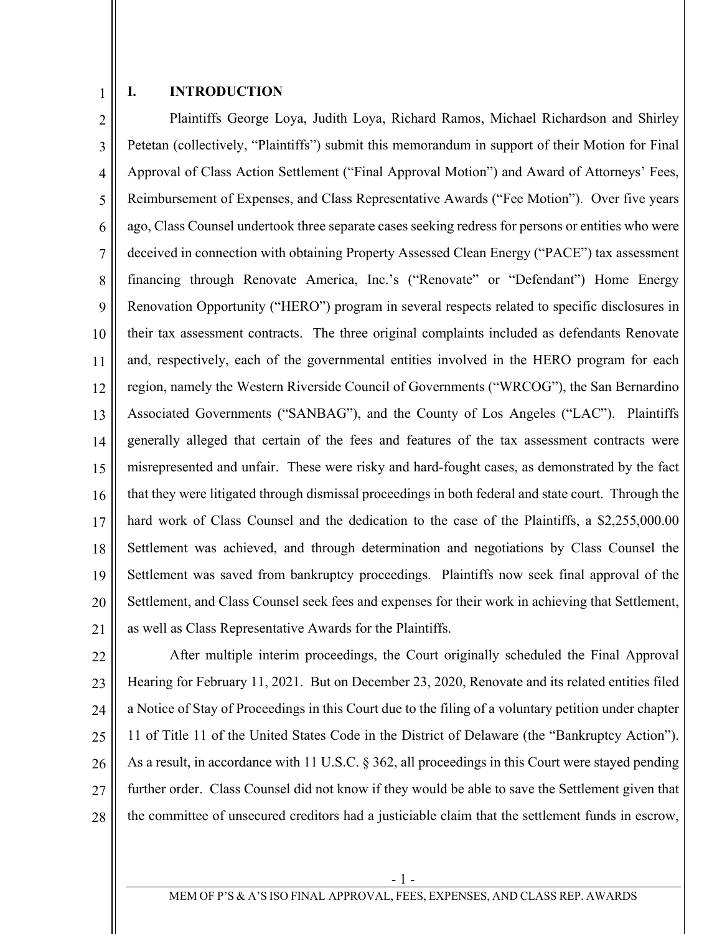1

#### **I. INTRODUCTION**

2 3 4 5 6 7 8 9 10 11 12 13 14 15 16 17 18 19 20 21 Plaintiffs George Loya, Judith Loya, Richard Ramos, Michael Richardson and Shirley Petetan (collectively, "Plaintiffs") submit this memorandum in support of their Motion for Final Approval of Class Action Settlement ("Final Approval Motion") and Award of Attorneys' Fees, Reimbursement of Expenses, and Class Representative Awards ("Fee Motion"). Over five years ago, Class Counsel undertook three separate cases seeking redress for persons or entities who were deceived in connection with obtaining Property Assessed Clean Energy ("PACE") tax assessment financing through Renovate America, Inc.'s ("Renovate" or "Defendant") Home Energy Renovation Opportunity ("HERO") program in several respects related to specific disclosures in their tax assessment contracts. The three original complaints included as defendants Renovate and, respectively, each of the governmental entities involved in the HERO program for each region, namely the Western Riverside Council of Governments ("WRCOG"), the San Bernardino Associated Governments ("SANBAG"), and the County of Los Angeles ("LAC"). Plaintiffs generally alleged that certain of the fees and features of the tax assessment contracts were misrepresented and unfair. These were risky and hard-fought cases, as demonstrated by the fact that they were litigated through dismissal proceedings in both federal and state court. Through the hard work of Class Counsel and the dedication to the case of the Plaintiffs, a \$2,255,000.00 Settlement was achieved, and through determination and negotiations by Class Counsel the Settlement was saved from bankruptcy proceedings. Plaintiffs now seek final approval of the Settlement, and Class Counsel seek fees and expenses for their work in achieving that Settlement, as well as Class Representative Awards for the Plaintiffs.

22 23

24 25 26 27 28 After multiple interim proceedings, the Court originally scheduled the Final Approval Hearing for February 11, 2021. But on December 23, 2020, Renovate and its related entities filed a Notice of Stay of Proceedings in this Court due to the filing of a voluntary petition under chapter 11 of Title 11 of the United States Code in the District of Delaware (the "Bankruptcy Action"). As a result, in accordance with 11 U.S.C. § 362, all proceedings in this Court were stayed pending further order. Class Counsel did not know if they would be able to save the Settlement given that the committee of unsecured creditors had a justiciable claim that the settlement funds in escrow,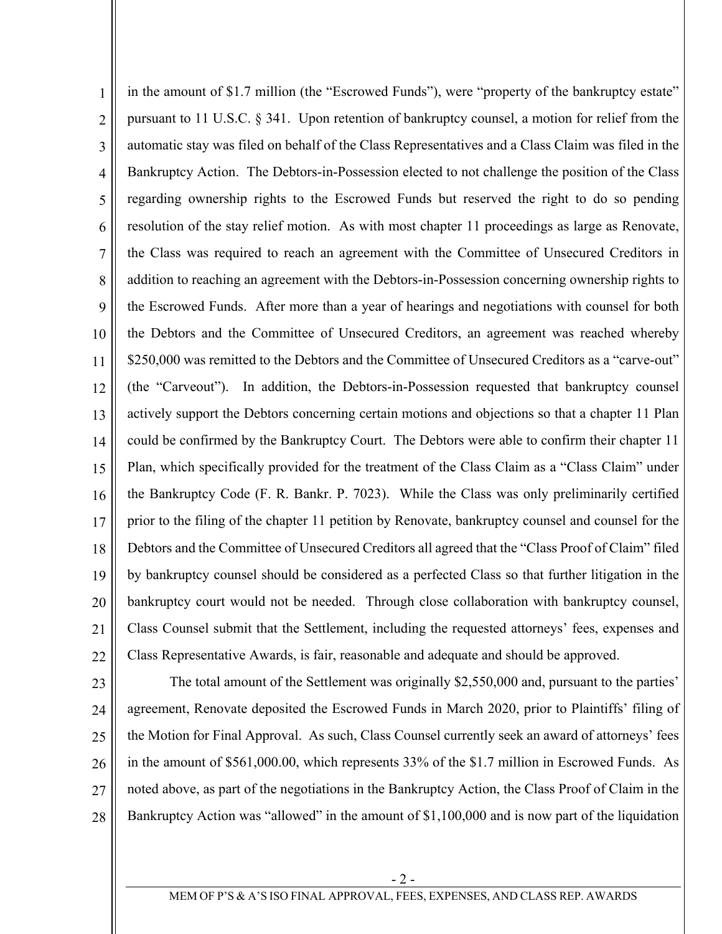1 2 3 4 5 6 7 8 9 10 11 12 13 14 15 16 17 18 19 20 21 22 in the amount of \$1.7 million (the "Escrowed Funds"), were "property of the bankruptcy estate" pursuant to 11 U.S.C. § 341. Upon retention of bankruptcy counsel, a motion for relief from the automatic stay was filed on behalf of the Class Representatives and a Class Claim was filed in the Bankruptcy Action. The Debtors-in-Possession elected to not challenge the position of the Class regarding ownership rights to the Escrowed Funds but reserved the right to do so pending resolution of the stay relief motion. As with most chapter 11 proceedings as large as Renovate, the Class was required to reach an agreement with the Committee of Unsecured Creditors in addition to reaching an agreement with the Debtors-in-Possession concerning ownership rights to the Escrowed Funds. After more than a year of hearings and negotiations with counsel for both the Debtors and the Committee of Unsecured Creditors, an agreement was reached whereby \$250,000 was remitted to the Debtors and the Committee of Unsecured Creditors as a "carve-out" (the "Carveout"). In addition, the Debtors-in-Possession requested that bankruptcy counsel actively support the Debtors concerning certain motions and objections so that a chapter 11 Plan could be confirmed by the Bankruptcy Court. The Debtors were able to confirm their chapter 11 Plan, which specifically provided for the treatment of the Class Claim as a "Class Claim" under the Bankruptcy Code (F. R. Bankr. P. 7023). While the Class was only preliminarily certified prior to the filing of the chapter 11 petition by Renovate, bankruptcy counsel and counsel for the Debtors and the Committee of Unsecured Creditors all agreed that the "Class Proof of Claim" filed by bankruptcy counsel should be considered as a perfected Class so that further litigation in the bankruptcy court would not be needed. Through close collaboration with bankruptcy counsel, Class Counsel submit that the Settlement, including the requested attorneys' fees, expenses and Class Representative Awards, is fair, reasonable and adequate and should be approved.

23 24 25 26 27 28 The total amount of the Settlement was originally \$2,550,000 and, pursuant to the parties' agreement, Renovate deposited the Escrowed Funds in March 2020, prior to Plaintiffs' filing of the Motion for Final Approval. As such, Class Counsel currently seek an award of attorneys' fees in the amount of \$561,000.00, which represents 33% of the \$1.7 million in Escrowed Funds. As noted above, as part of the negotiations in the Bankruptcy Action, the Class Proof of Claim in the Bankruptcy Action was "allowed" in the amount of \$1,100,000 and is now part of the liquidation

- 2 -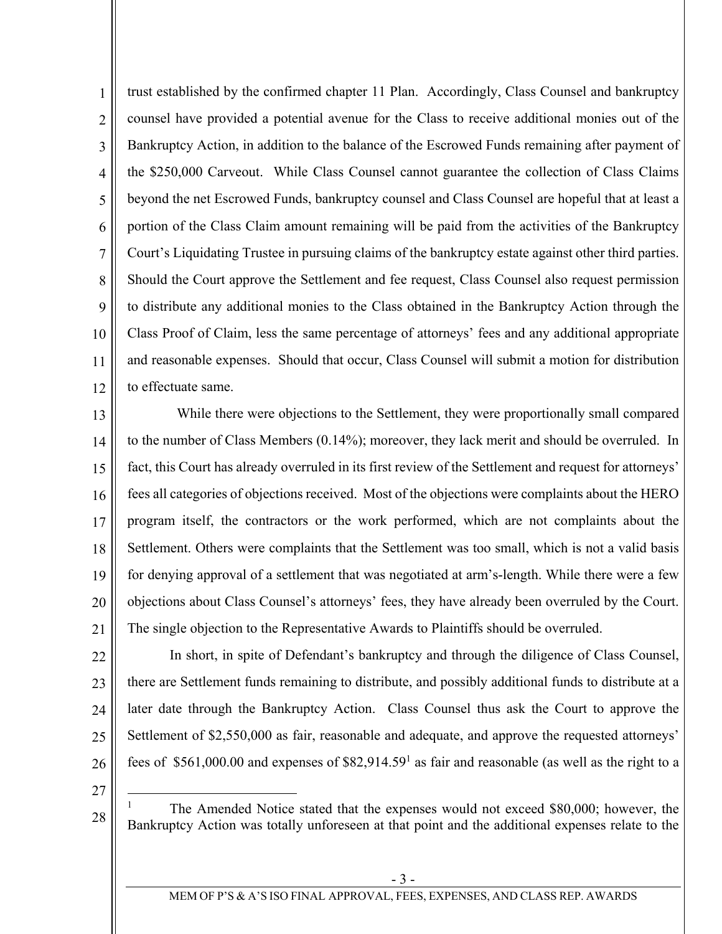1 2 3 4 5 6 7 8 9 10 11 12 trust established by the confirmed chapter 11 Plan. Accordingly, Class Counsel and bankruptcy counsel have provided a potential avenue for the Class to receive additional monies out of the Bankruptcy Action, in addition to the balance of the Escrowed Funds remaining after payment of the \$250,000 Carveout. While Class Counsel cannot guarantee the collection of Class Claims beyond the net Escrowed Funds, bankruptcy counsel and Class Counsel are hopeful that at least a portion of the Class Claim amount remaining will be paid from the activities of the Bankruptcy Court's Liquidating Trustee in pursuing claims of the bankruptcy estate against other third parties. Should the Court approve the Settlement and fee request, Class Counsel also request permission to distribute any additional monies to the Class obtained in the Bankruptcy Action through the Class Proof of Claim, less the same percentage of attorneys' fees and any additional appropriate and reasonable expenses. Should that occur, Class Counsel will submit a motion for distribution to effectuate same.

13 14 15 16 17 18 19 20 21 While there were objections to the Settlement, they were proportionally small compared to the number of Class Members (0.14%); moreover, they lack merit and should be overruled. In fact, this Court has already overruled in its first review of the Settlement and request for attorneys' fees all categories of objections received. Most of the objections were complaints about the HERO program itself, the contractors or the work performed, which are not complaints about the Settlement. Others were complaints that the Settlement was too small, which is not a valid basis for denying approval of a settlement that was negotiated at arm's-length. While there were a few objections about Class Counsel's attorneys' fees, they have already been overruled by the Court. The single objection to the Representative Awards to Plaintiffs should be overruled.

22 23 24 25 26 In short, in spite of Defendant's bankruptcy and through the diligence of Class Counsel, there are Settlement funds remaining to distribute, and possibly additional funds to distribute at a later date through the Bankruptcy Action. Class Counsel thus ask the Court to approve the Settlement of \$2,550,000 as fair, reasonable and adequate, and approve the requested attorneys' fees of \$561,000.00 and expenses of \$82,914.59<sup>1</sup> as fair and reasonable (as well as the right to a

27

 $\overline{a}$ 

28

1 The Amended Notice stated that the expenses would not exceed \$80,000; however, the Bankruptcy Action was totally unforeseen at that point and the additional expenses relate to the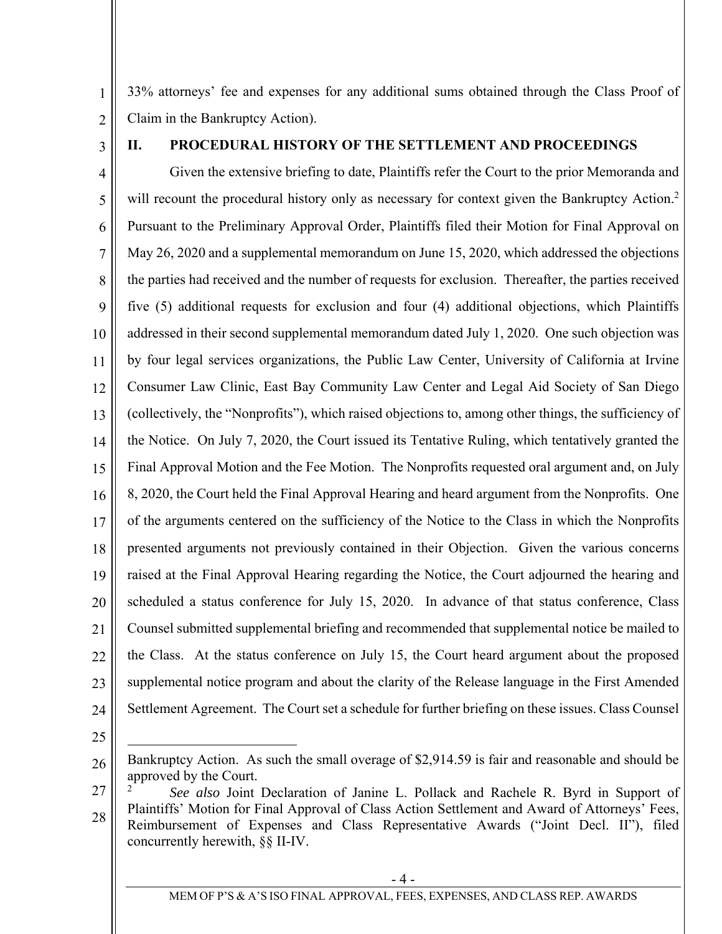1 2 33% attorneys' fee and expenses for any additional sums obtained through the Class Proof of Claim in the Bankruptcy Action).

3

### **II. PROCEDURAL HISTORY OF THE SETTLEMENT AND PROCEEDINGS**

4 5 6 7 8 9 10 11 12 13 14 15 16 17 18 19 20 21 22 23 24 Given the extensive briefing to date, Plaintiffs refer the Court to the prior Memoranda and will recount the procedural history only as necessary for context given the Bankruptcy Action.<sup>2</sup> Pursuant to the Preliminary Approval Order, Plaintiffs filed their Motion for Final Approval on May 26, 2020 and a supplemental memorandum on June 15, 2020, which addressed the objections the parties had received and the number of requests for exclusion. Thereafter, the parties received five (5) additional requests for exclusion and four (4) additional objections, which Plaintiffs addressed in their second supplemental memorandum dated July 1, 2020. One such objection was by four legal services organizations, the Public Law Center, University of California at Irvine Consumer Law Clinic, East Bay Community Law Center and Legal Aid Society of San Diego (collectively, the "Nonprofits"), which raised objections to, among other things, the sufficiency of the Notice. On July 7, 2020, the Court issued its Tentative Ruling, which tentatively granted the Final Approval Motion and the Fee Motion. The Nonprofits requested oral argument and, on July 8, 2020, the Court held the Final Approval Hearing and heard argument from the Nonprofits. One of the arguments centered on the sufficiency of the Notice to the Class in which the Nonprofits presented arguments not previously contained in their Objection. Given the various concerns raised at the Final Approval Hearing regarding the Notice, the Court adjourned the hearing and scheduled a status conference for July 15, 2020. In advance of that status conference, Class Counsel submitted supplemental briefing and recommended that supplemental notice be mailed to the Class. At the status conference on July 15, the Court heard argument about the proposed supplemental notice program and about the clarity of the Release language in the First Amended Settlement Agreement. The Court set a schedule for further briefing on these issues. Class Counsel

25

27 28 <sup>2</sup> *See also* Joint Declaration of Janine L. Pollack and Rachele R. Byrd in Support of Plaintiffs' Motion for Final Approval of Class Action Settlement and Award of Attorneys' Fees, Reimbursement of Expenses and Class Representative Awards ("Joint Decl. II"), filed concurrently herewith, §§ II-IV.

<sup>26</sup>  Bankruptcy Action. As such the small overage of \$2,914.59 is fair and reasonable and should be approved by the Court.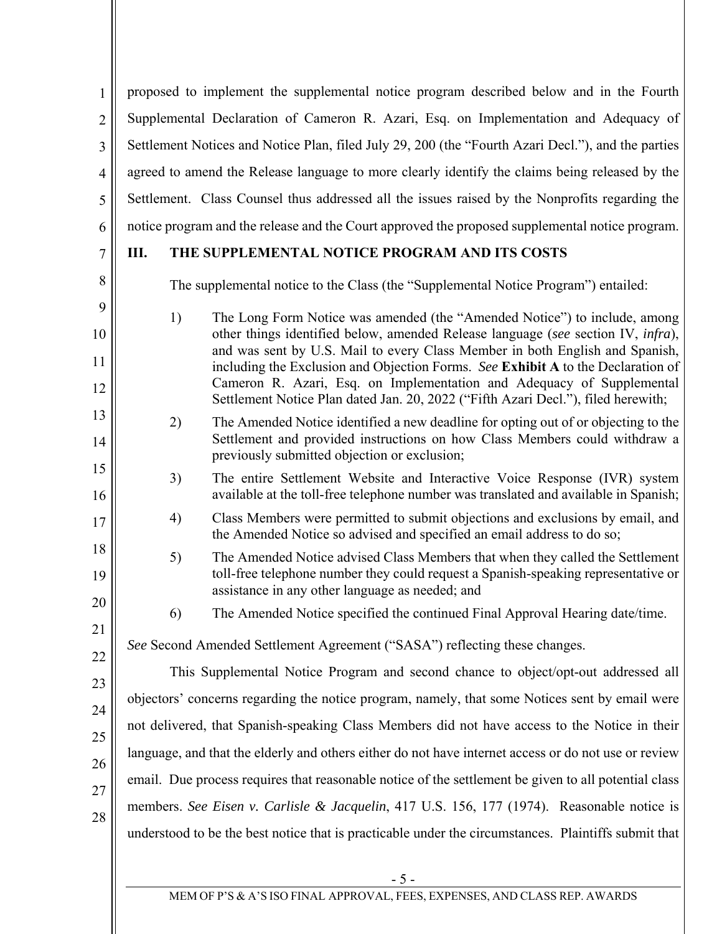1 2 3 4 5 6 proposed to implement the supplemental notice program described below and in the Fourth Supplemental Declaration of Cameron R. Azari, Esq. on Implementation and Adequacy of Settlement Notices and Notice Plan, filed July 29, 200 (the "Fourth Azari Decl."), and the parties agreed to amend the Release language to more clearly identify the claims being released by the Settlement. Class Counsel thus addressed all the issues raised by the Nonprofits regarding the notice program and the release and the Court approved the proposed supplemental notice program.

### 7

8

9

10

11

12

13

14

15

16

17

18

19

20

21

22

## **III. THE SUPPLEMENTAL NOTICE PROGRAM AND ITS COSTS**

The supplemental notice to the Class (the "Supplemental Notice Program") entailed:

- 1) The Long Form Notice was amended (the "Amended Notice") to include, among other things identified below, amended Release language (*see* section IV, *infra*), and was sent by U.S. Mail to every Class Member in both English and Spanish, including the Exclusion and Objection Forms. *See* **Exhibit A** to the Declaration of Cameron R. Azari, Esq. on Implementation and Adequacy of Supplemental Settlement Notice Plan dated Jan. 20, 2022 ("Fifth Azari Decl."), filed herewith;
- 2) The Amended Notice identified a new deadline for opting out of or objecting to the Settlement and provided instructions on how Class Members could withdraw a previously submitted objection or exclusion;
- 3) The entire Settlement Website and Interactive Voice Response (IVR) system available at the toll-free telephone number was translated and available in Spanish;
- 4) Class Members were permitted to submit objections and exclusions by email, and the Amended Notice so advised and specified an email address to do so;
- 5) The Amended Notice advised Class Members that when they called the Settlement toll-free telephone number they could request a Spanish-speaking representative or assistance in any other language as needed; and
	- 6) The Amended Notice specified the continued Final Approval Hearing date/time.

# *See* Second Amended Settlement Agreement ("SASA") reflecting these changes.

23 24 25 26 27 28 This Supplemental Notice Program and second chance to object/opt-out addressed all objectors' concerns regarding the notice program, namely, that some Notices sent by email were not delivered, that Spanish-speaking Class Members did not have access to the Notice in their language, and that the elderly and others either do not have internet access or do not use or review email. Due process requires that reasonable notice of the settlement be given to all potential class members. *See Eisen v. Carlisle & Jacquelin*, 417 U.S. 156, 177 (1974). Reasonable notice is understood to be the best notice that is practicable under the circumstances. Plaintiffs submit that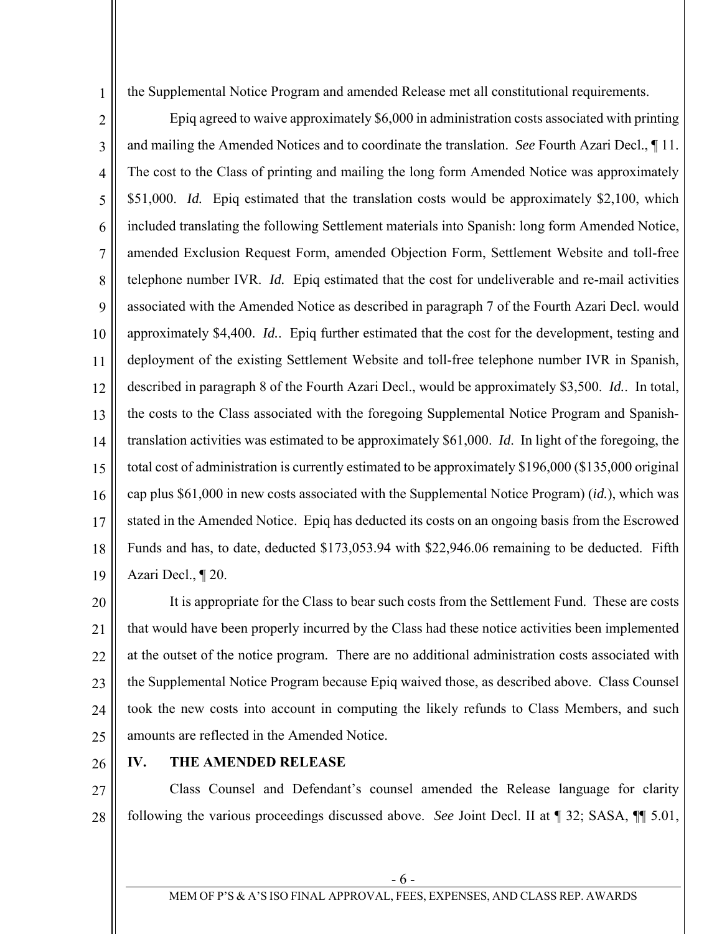the Supplemental Notice Program and amended Release met all constitutional requirements.

2 3 4 5 6 7 8 9 10 11 12 13 14 15 16 17 18 19 Epiq agreed to waive approximately \$6,000 in administration costs associated with printing and mailing the Amended Notices and to coordinate the translation. *See* Fourth Azari Decl., ¶ 11. The cost to the Class of printing and mailing the long form Amended Notice was approximately \$51,000. *Id.* Epiq estimated that the translation costs would be approximately \$2,100, which included translating the following Settlement materials into Spanish: long form Amended Notice, amended Exclusion Request Form, amended Objection Form, Settlement Website and toll-free telephone number IVR. *Id.* Epiq estimated that the cost for undeliverable and re-mail activities associated with the Amended Notice as described in paragraph 7 of the Fourth Azari Decl. would approximately \$4,400. *Id.*. Epiq further estimated that the cost for the development, testing and deployment of the existing Settlement Website and toll-free telephone number IVR in Spanish, described in paragraph 8 of the Fourth Azari Decl., would be approximately \$3,500. *Id.*. In total, the costs to the Class associated with the foregoing Supplemental Notice Program and Spanishtranslation activities was estimated to be approximately \$61,000. *Id*. In light of the foregoing, the total cost of administration is currently estimated to be approximately \$196,000 (\$135,000 original cap plus \$61,000 in new costs associated with the Supplemental Notice Program) (*id.*), which was stated in the Amended Notice. Epiq has deducted its costs on an ongoing basis from the Escrowed Funds and has, to date, deducted \$173,053.94 with \$22,946.06 remaining to be deducted. Fifth Azari Decl., ¶ 20.

20 21 22 23 24 25 It is appropriate for the Class to bear such costs from the Settlement Fund. These are costs that would have been properly incurred by the Class had these notice activities been implemented at the outset of the notice program. There are no additional administration costs associated with the Supplemental Notice Program because Epiq waived those, as described above. Class Counsel took the new costs into account in computing the likely refunds to Class Members, and such amounts are reflected in the Amended Notice.

26

1

#### **IV. THE AMENDED RELEASE**

27 28 Class Counsel and Defendant's counsel amended the Release language for clarity following the various proceedings discussed above. *See* Joint Decl. II at ¶ 32; SASA, ¶¶ 5.01,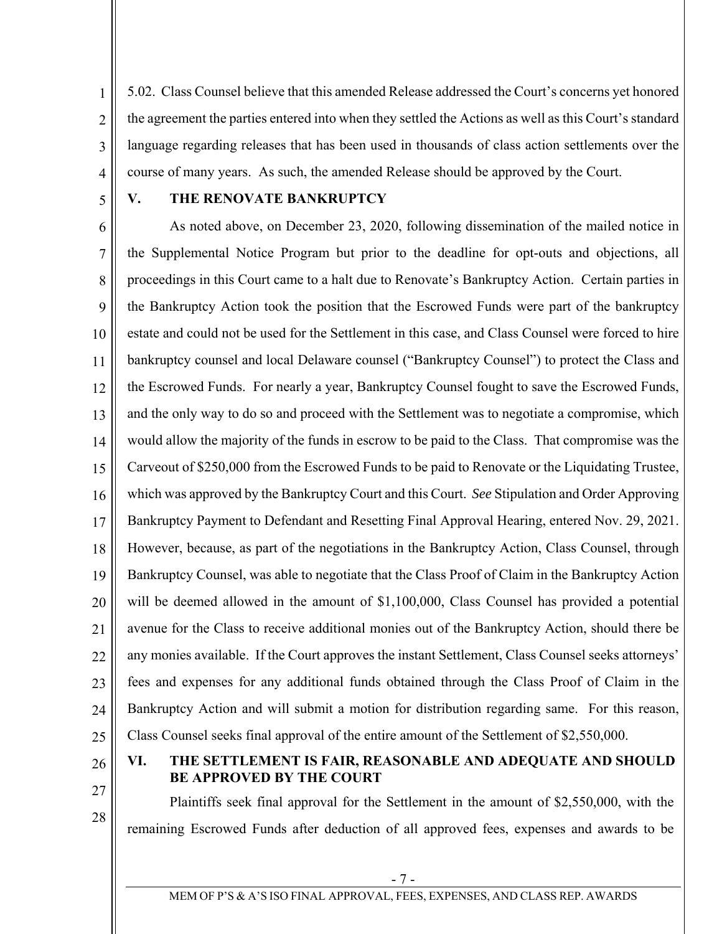2 3 4 5.02. Class Counsel believe that this amended Release addressed the Court's concerns yet honored the agreement the parties entered into when they settled the Actions as well as this Court's standard language regarding releases that has been used in thousands of class action settlements over the course of many years. As such, the amended Release should be approved by the Court.

5

1

#### **V. THE RENOVATE BANKRUPTCY**

6 7 8 9 10 11 12 13 14 15 16 17 18 19 20 21 22 23 24 25 As noted above, on December 23, 2020, following dissemination of the mailed notice in the Supplemental Notice Program but prior to the deadline for opt-outs and objections, all proceedings in this Court came to a halt due to Renovate's Bankruptcy Action. Certain parties in the Bankruptcy Action took the position that the Escrowed Funds were part of the bankruptcy estate and could not be used for the Settlement in this case, and Class Counsel were forced to hire bankruptcy counsel and local Delaware counsel ("Bankruptcy Counsel") to protect the Class and the Escrowed Funds. For nearly a year, Bankruptcy Counsel fought to save the Escrowed Funds, and the only way to do so and proceed with the Settlement was to negotiate a compromise, which would allow the majority of the funds in escrow to be paid to the Class. That compromise was the Carveout of \$250,000 from the Escrowed Funds to be paid to Renovate or the Liquidating Trustee, which was approved by the Bankruptcy Court and this Court. *See* Stipulation and Order Approving Bankruptcy Payment to Defendant and Resetting Final Approval Hearing, entered Nov. 29, 2021. However, because, as part of the negotiations in the Bankruptcy Action, Class Counsel, through Bankruptcy Counsel, was able to negotiate that the Class Proof of Claim in the Bankruptcy Action will be deemed allowed in the amount of \$1,100,000, Class Counsel has provided a potential avenue for the Class to receive additional monies out of the Bankruptcy Action, should there be any monies available. If the Court approves the instant Settlement, Class Counsel seeks attorneys' fees and expenses for any additional funds obtained through the Class Proof of Claim in the Bankruptcy Action and will submit a motion for distribution regarding same. For this reason, Class Counsel seeks final approval of the entire amount of the Settlement of \$2,550,000.

26

27

28

**VI. THE SETTLEMENT IS FAIR, REASONABLE AND ADEQUATE AND SHOULD BE APPROVED BY THE COURT** 

Plaintiffs seek final approval for the Settlement in the amount of \$2,550,000, with the remaining Escrowed Funds after deduction of all approved fees, expenses and awards to be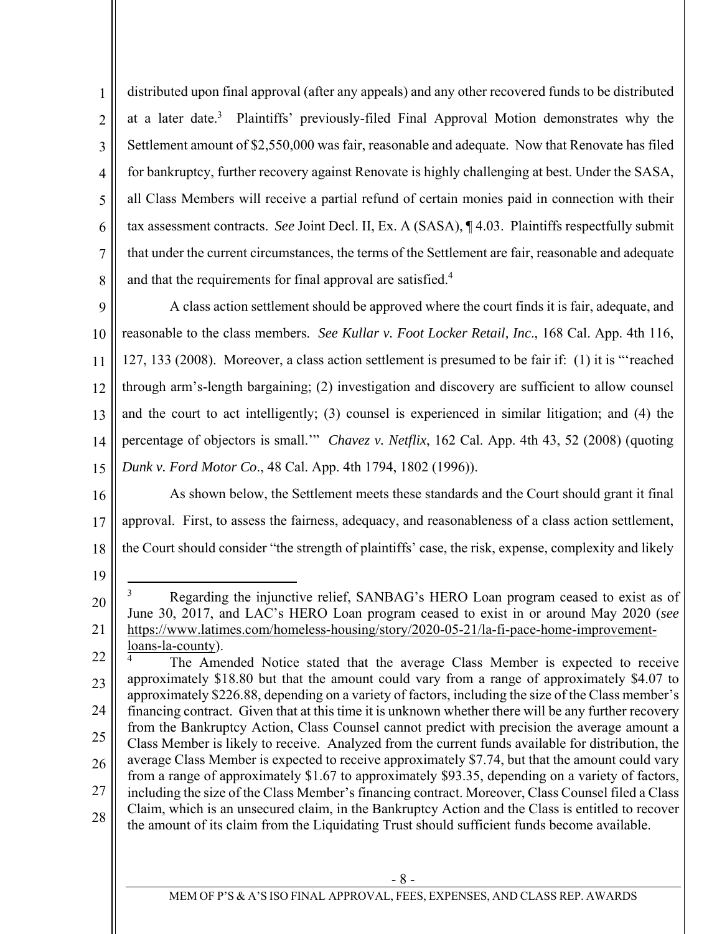1 2 3 4 5 6 7 8 distributed upon final approval (after any appeals) and any other recovered funds to be distributed at a later date.<sup>3</sup> Plaintiffs' previously-filed Final Approval Motion demonstrates why the Settlement amount of \$2,550,000 was fair, reasonable and adequate. Now that Renovate has filed for bankruptcy, further recovery against Renovate is highly challenging at best. Under the SASA, all Class Members will receive a partial refund of certain monies paid in connection with their tax assessment contracts. *See* Joint Decl. II, Ex. A (SASA), ¶ 4.03. Plaintiffs respectfully submit that under the current circumstances, the terms of the Settlement are fair, reasonable and adequate and that the requirements for final approval are satisfied.<sup>4</sup>

9 10 11 12 13 14 15 A class action settlement should be approved where the court finds it is fair, adequate, and reasonable to the class members. *See Kullar v. Foot Locker Retail, Inc*., 168 Cal. App. 4th 116, 127, 133 (2008).Moreover, a class action settlement is presumed to be fair if: (1) it is "'reached through arm's-length bargaining; (2) investigation and discovery are sufficient to allow counsel and the court to act intelligently; (3) counsel is experienced in similar litigation; and (4) the percentage of objectors is small.'" *Chavez v. Netflix*, 162 Cal. App. 4th 43, 52 (2008) (quoting *Dunk v. Ford Motor Co*., 48 Cal. App. 4th 1794, 1802 (1996)).

16 17 18 As shown below, the Settlement meets these standards and the Court should grant it final approval. First, to assess the fairness, adequacy, and reasonableness of a class action settlement, the Court should consider "the strength of plaintiffs' case, the risk, expense, complexity and likely

19

22 23 24 25 26 27 28 4 The Amended Notice stated that the average Class Member is expected to receive approximately \$18.80 but that the amount could vary from a range of approximately \$4.07 to approximately \$226.88, depending on a variety of factors, including the size of the Class member's financing contract. Given that at this time it is unknown whether there will be any further recovery from the Bankruptcy Action, Class Counsel cannot predict with precision the average amount a Class Member is likely to receive. Analyzed from the current funds available for distribution, the average Class Member is expected to receive approximately \$7.74, but that the amount could vary from a range of approximately \$1.67 to approximately \$93.35, depending on a variety of factors, including the size of the Class Member's financing contract. Moreover, Class Counsel filed a Class Claim, which is an unsecured claim, in the Bankruptcy Action and the Class is entitled to recover the amount of its claim from the Liquidating Trust should sufficient funds become available.

<sup>20</sup>  21  $\overline{a}$ 3 Regarding the injunctive relief, SANBAG's HERO Loan program ceased to exist as of June 30, 2017, and LAC's HERO Loan program ceased to exist in or around May 2020 (*see* https://www.latimes.com/homeless-housing/story/2020-05-21/la-fi-pace-home-improvementloans-la-county).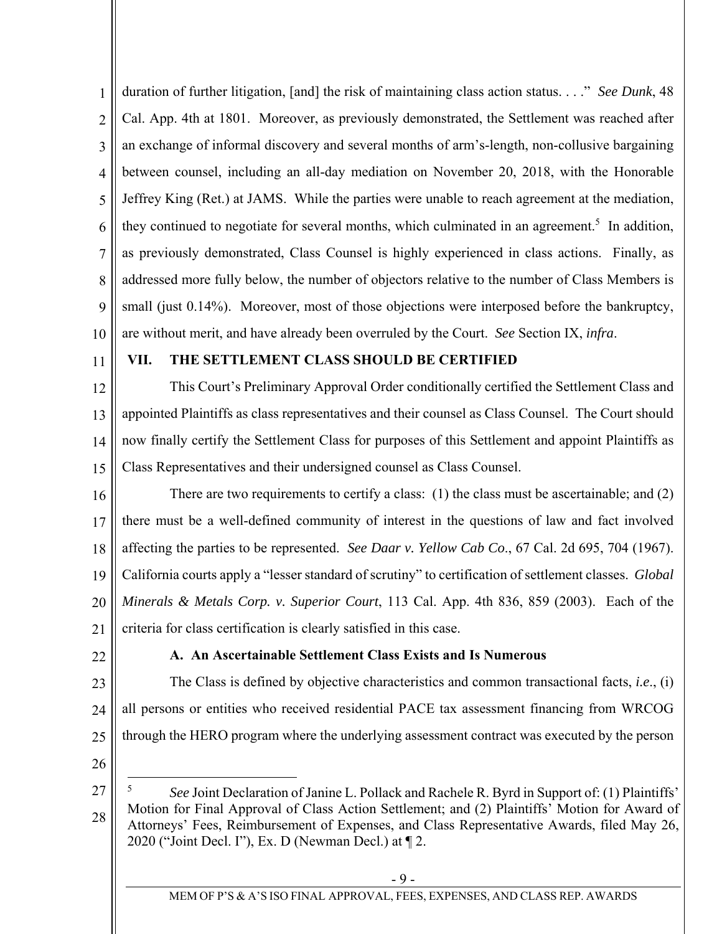1 2 3 4 5 6 7 8 9 10 duration of further litigation, [and] the risk of maintaining class action status. . . ." *See Dunk*, 48 Cal. App. 4th at 1801. Moreover, as previously demonstrated, the Settlement was reached after an exchange of informal discovery and several months of arm's-length, non-collusive bargaining between counsel, including an all-day mediation on November 20, 2018, with the Honorable Jeffrey King (Ret.) at JAMS. While the parties were unable to reach agreement at the mediation, they continued to negotiate for several months, which culminated in an agreement.<sup>5</sup> In addition, as previously demonstrated, Class Counsel is highly experienced in class actions. Finally, as addressed more fully below, the number of objectors relative to the number of Class Members is small (just 0.14%). Moreover, most of those objections were interposed before the bankruptcy, are without merit, and have already been overruled by the Court. *See* Section IX, *infra*.

11

#### **VII. THE SETTLEMENT CLASS SHOULD BE CERTIFIED**

12 13 14 15 This Court's Preliminary Approval Order conditionally certified the Settlement Class and appointed Plaintiffs as class representatives and their counsel as Class Counsel. The Court should now finally certify the Settlement Class for purposes of this Settlement and appoint Plaintiffs as Class Representatives and their undersigned counsel as Class Counsel.

16 17 18 19 20 21 There are two requirements to certify a class:  $(1)$  the class must be ascertainable; and  $(2)$ there must be a well-defined community of interest in the questions of law and fact involved affecting the parties to be represented. *See Daar v. Yellow Cab Co*., 67 Cal. 2d 695, 704 (1967). California courts apply a "lesser standard of scrutiny" to certification of settlement classes. *Global Minerals & Metals Corp. v. Superior Court*, 113 Cal. App. 4th 836, 859 (2003). Each of the criteria for class certification is clearly satisfied in this case.

22

### **A. An Ascertainable Settlement Class Exists and Is Numerous**

23 24 25 The Class is defined by objective characteristics and common transactional facts, *i.e*., (i) all persons or entities who received residential PACE tax assessment financing from WRCOG through the HERO program where the underlying assessment contract was executed by the person

26

1

<sup>27</sup>  28 5 *See* Joint Declaration of Janine L. Pollack and Rachele R. Byrd in Support of: (1) Plaintiffs' Motion for Final Approval of Class Action Settlement; and (2) Plaintiffs' Motion for Award of Attorneys' Fees, Reimbursement of Expenses, and Class Representative Awards, filed May 26, 2020 ("Joint Decl. I"), Ex. D (Newman Decl.) at ¶ 2.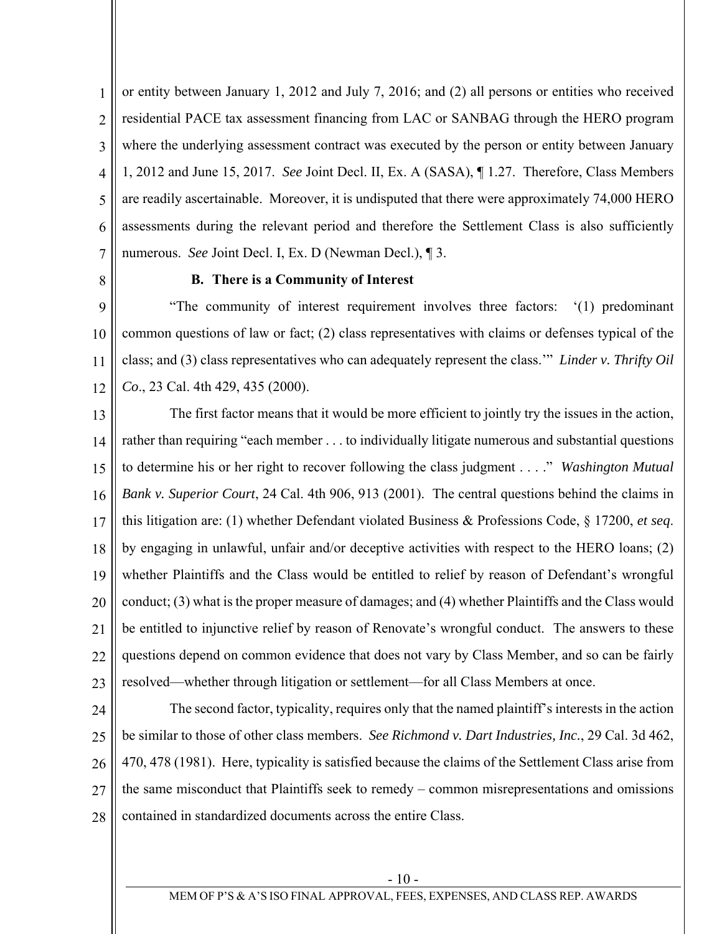1 2 3 4 5 6 7 or entity between January 1, 2012 and July 7, 2016; and (2) all persons or entities who received residential PACE tax assessment financing from LAC or SANBAG through the HERO program where the underlying assessment contract was executed by the person or entity between January 1, 2012 and June 15, 2017. *See* Joint Decl. II, Ex. A (SASA), ¶ 1.27. Therefore, Class Members are readily ascertainable. Moreover, it is undisputed that there were approximately 74,000 HERO assessments during the relevant period and therefore the Settlement Class is also sufficiently numerous. *See* Joint Decl. I, Ex. D (Newman Decl.), ¶ 3.

8

#### **B. There is a Community of Interest**

9 10 11 12 "The community of interest requirement involves three factors: '(1) predominant common questions of law or fact; (2) class representatives with claims or defenses typical of the class; and (3) class representatives who can adequately represent the class.'" *Linder v. Thrifty Oil Co*., 23 Cal. 4th 429, 435 (2000).

13 14 15 16 17 18 19 20 21 22 23 The first factor means that it would be more efficient to jointly try the issues in the action, rather than requiring "each member . . . to individually litigate numerous and substantial questions to determine his or her right to recover following the class judgment . . . ." *Washington Mutual Bank v. Superior Court*, 24 Cal. 4th 906, 913 (2001). The central questions behind the claims in this litigation are: (1) whether Defendant violated Business & Professions Code, § 17200, *et seq*. by engaging in unlawful, unfair and/or deceptive activities with respect to the HERO loans; (2) whether Plaintiffs and the Class would be entitled to relief by reason of Defendant's wrongful conduct; (3) what is the proper measure of damages; and (4) whether Plaintiffs and the Class would be entitled to injunctive relief by reason of Renovate's wrongful conduct. The answers to these questions depend on common evidence that does not vary by Class Member, and so can be fairly resolved—whether through litigation or settlement—for all Class Members at once.

24

25 26 27 28 The second factor, typicality, requires only that the named plaintiff's interests in the action be similar to those of other class members. *See Richmond v. Dart Industries, Inc.*, 29 Cal. 3d 462, 470, 478 (1981). Here, typicality is satisfied because the claims of the Settlement Class arise from the same misconduct that Plaintiffs seek to remedy – common misrepresentations and omissions contained in standardized documents across the entire Class.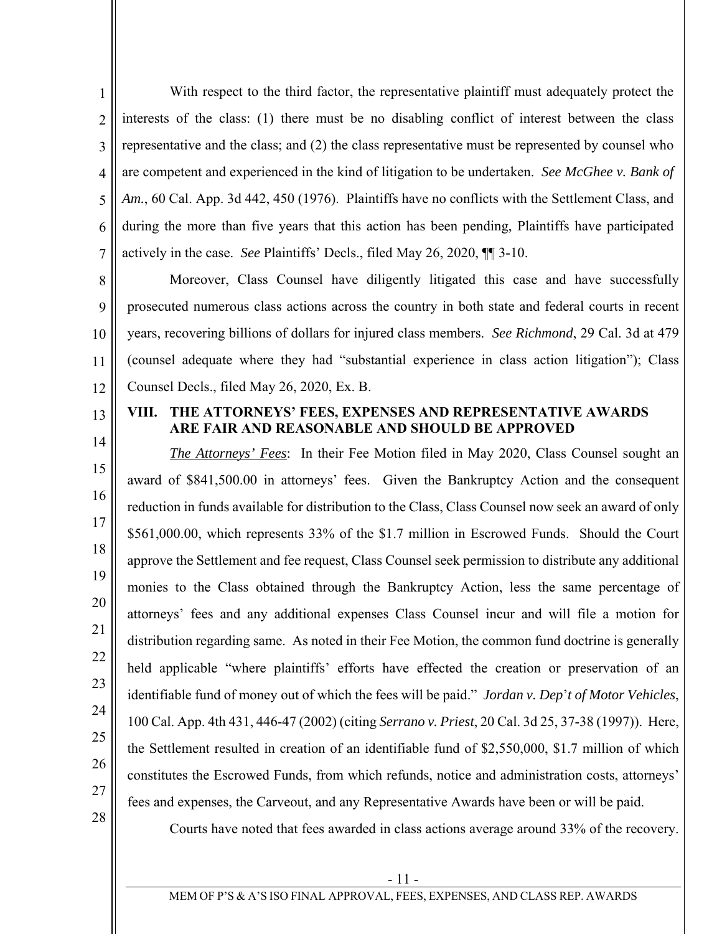1 2 3 4 5 6 7 With respect to the third factor, the representative plaintiff must adequately protect the interests of the class: (1) there must be no disabling conflict of interest between the class representative and the class; and (2) the class representative must be represented by counsel who are competent and experienced in the kind of litigation to be undertaken. *See McGhee v. Bank of*  Am., 60 Cal. App. 3d 442, 450 (1976). Plaintiffs have no conflicts with the Settlement Class, and during the more than five years that this action has been pending, Plaintiffs have participated actively in the case. *See* Plaintiffs' Decls., filed May 26, 2020, ¶¶ 3-10.

8 9 10 11 12 Moreover, Class Counsel have diligently litigated this case and have successfully prosecuted numerous class actions across the country in both state and federal courts in recent years, recovering billions of dollars for injured class members. *See Richmond*, 29 Cal. 3d at 479 (counsel adequate where they had "substantial experience in class action litigation"); Class Counsel Decls., filed May 26, 2020, Ex. B.

13 14

#### **VIII. THE ATTORNEYS' FEES, EXPENSES AND REPRESENTATIVE AWARDS ARE FAIR AND REASONABLE AND SHOULD BE APPROVED**

15 16 17 18 19 20 22 23 24 25 26 27 *The Attorneys' Fees*: In their Fee Motion filed in May 2020, Class Counsel sought an award of \$841,500.00 in attorneys' fees. Given the Bankruptcy Action and the consequent reduction in funds available for distribution to the Class, Class Counsel now seek an award of only \$561,000.00, which represents 33% of the \$1.7 million in Escrowed Funds. Should the Court approve the Settlement and fee request, Class Counsel seek permission to distribute any additional monies to the Class obtained through the Bankruptcy Action, less the same percentage of attorneys' fees and any additional expenses Class Counsel incur and will file a motion for distribution regarding same. As noted in their Fee Motion, the common fund doctrine is generally held applicable "where plaintiffs' efforts have effected the creation or preservation of an identifiable fund of money out of which the fees will be paid." *Jordan v. Dep*'*t of Motor Vehicles*, 100 Cal. App. 4th 431, 446-47 (2002) (citing *Serrano v. Priest*, 20 Cal. 3d 25, 37-38 (1997)). Here, the Settlement resulted in creation of an identifiable fund of \$2,550,000, \$1.7 million of which constitutes the Escrowed Funds, from which refunds, notice and administration costs, attorneys' fees and expenses, the Carveout, and any Representative Awards have been or will be paid.

28

21

Courts have noted that fees awarded in class actions average around 33% of the recovery.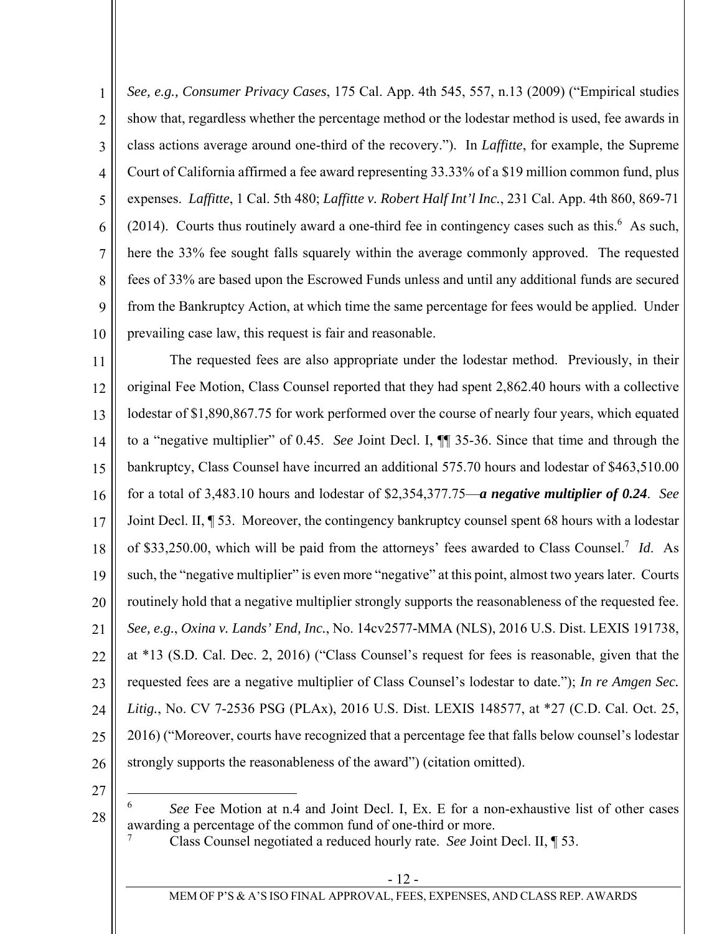1 2 3 4 5 6 7 8 9 10 *See, e.g., Consumer Privacy Cases*, 175 Cal. App. 4th 545, 557, n.13 (2009) ("Empirical studies show that, regardless whether the percentage method or the lodestar method is used, fee awards in class actions average around one-third of the recovery."). In *Laffitte*, for example, the Supreme Court of California affirmed a fee award representing 33.33% of a \$19 million common fund, plus expenses. *Laffitte*, 1 Cal. 5th 480; *Laffitte v. Robert Half Int'l Inc.*, 231 Cal. App. 4th 860, 869-71  $(2014)$ . Courts thus routinely award a one-third fee in contingency cases such as this.<sup>6</sup> As such, here the 33% fee sought falls squarely within the average commonly approved. The requested fees of 33% are based upon the Escrowed Funds unless and until any additional funds are secured from the Bankruptcy Action, at which time the same percentage for fees would be applied. Under prevailing case law, this request is fair and reasonable.

11 12 13 14 15 16 17 18 19 20 21 22 23 24 25 26 The requested fees are also appropriate under the lodestar method. Previously, in their original Fee Motion, Class Counsel reported that they had spent 2,862.40 hours with a collective lodestar of \$1,890,867.75 for work performed over the course of nearly four years, which equated to a "negative multiplier" of 0.45. *See* Joint Decl. I, ¶¶ 35-36. Since that time and through the bankruptcy, Class Counsel have incurred an additional 575.70 hours and lodestar of \$463,510.00 for a total of 3,483.10 hours and lodestar of \$2,354,377.75—*a negative multiplier of 0.24*. *See* Joint Decl. II, ¶ 53. Moreover, the contingency bankruptcy counsel spent 68 hours with a lodestar of \$33,250.00, which will be paid from the attorneys' fees awarded to Class Counsel.7 *Id*. As such, the "negative multiplier" is even more "negative" at this point, almost two years later. Courts routinely hold that a negative multiplier strongly supports the reasonableness of the requested fee. *See, e.g.*, *Oxina v. Lands' End, Inc.*, No. 14cv2577-MMA (NLS), 2016 U.S. Dist. LEXIS 191738, at \*13 (S.D. Cal. Dec. 2, 2016) ("Class Counsel's request for fees is reasonable, given that the requested fees are a negative multiplier of Class Counsel's lodestar to date."); *In re Amgen Sec. Litig.*, No. CV 7-2536 PSG (PLAx), 2016 U.S. Dist. LEXIS 148577, at \*27 (C.D. Cal. Oct. 25, 2016) ("Moreover, courts have recognized that a percentage fee that falls below counsel's lodestar strongly supports the reasonableness of the award") (citation omitted).

27

28

<sup>6</sup> *See* Fee Motion at n.4 and Joint Decl. I, Ex. E for a non-exhaustive list of other cases awarding a percentage of the common fund of one-third or more.

<sup>7</sup> Class Counsel negotiated a reduced hourly rate. *See* Joint Decl. II, ¶ 53.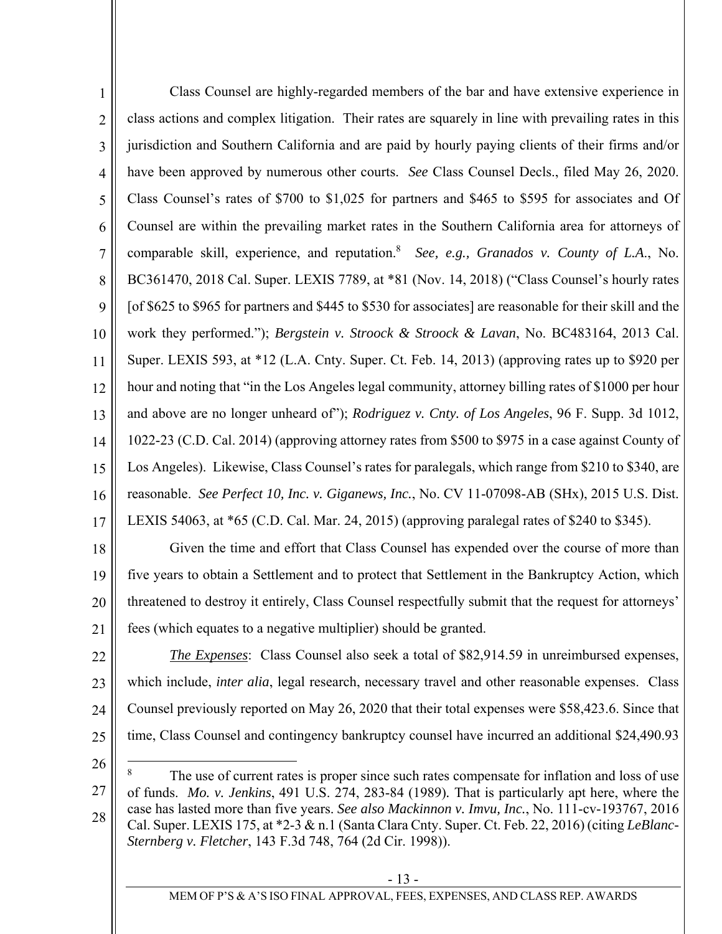1 2 3 4 5 6 7 8 9 10 11 12 13 14 15 16 17 Class Counsel are highly-regarded members of the bar and have extensive experience in class actions and complex litigation. Their rates are squarely in line with prevailing rates in this jurisdiction and Southern California and are paid by hourly paying clients of their firms and/or have been approved by numerous other courts. *See* Class Counsel Decls., filed May 26, 2020. Class Counsel's rates of \$700 to \$1,025 for partners and \$465 to \$595 for associates and Of Counsel are within the prevailing market rates in the Southern California area for attorneys of comparable skill, experience, and reputation.<sup>8</sup> See, e.g., Granados v. County of L.A., No. BC361470, 2018 Cal. Super. LEXIS 7789, at \*81 (Nov. 14, 2018) ("Class Counsel's hourly rates [of \$625 to \$965 for partners and \$445 to \$530 for associates] are reasonable for their skill and the work they performed."); *Bergstein v. Stroock & Stroock & Lavan*, No. BC483164, 2013 Cal. Super. LEXIS 593, at \*12 (L.A. Cnty. Super. Ct. Feb. 14, 2013) (approving rates up to \$920 per hour and noting that "in the Los Angeles legal community, attorney billing rates of \$1000 per hour and above are no longer unheard of"); *Rodriguez v. Cnty. of Los Angeles*, 96 F. Supp. 3d 1012, 1022-23 (C.D. Cal. 2014) (approving attorney rates from \$500 to \$975 in a case against County of Los Angeles). Likewise, Class Counsel's rates for paralegals, which range from \$210 to \$340, are reasonable. *See Perfect 10, Inc. v. Giganews, Inc.*, No. CV 11-07098-AB (SHx), 2015 U.S. Dist. LEXIS 54063, at \*65 (C.D. Cal. Mar. 24, 2015) (approving paralegal rates of \$240 to \$345).

18 19 20 21 Given the time and effort that Class Counsel has expended over the course of more than five years to obtain a Settlement and to protect that Settlement in the Bankruptcy Action, which threatened to destroy it entirely, Class Counsel respectfully submit that the request for attorneys' fees (which equates to a negative multiplier) should be granted.

22

23 24 25 *The Expenses*: Class Counsel also seek a total of \$82,914.59 in unreimbursed expenses, which include, *inter alia*, legal research, necessary travel and other reasonable expenses. Class Counsel previously reported on May 26, 2020 that their total expenses were \$58,423.6. Since that time, Class Counsel and contingency bankruptcy counsel have incurred an additional \$24,490.93

26

<sup>27</sup>  28 The use of current rates is proper since such rates compensate for inflation and loss of use of funds. *Mo. v. Jenkins*, 491 U.S. 274, 283-84 (1989)*.* That is particularly apt here, where the case has lasted more than five years. *See also Mackinnon v. Imvu, Inc.*, No. 111-cv-193767, 2016 Cal. Super. LEXIS 175, at \*2-3 & n.1 (Santa Clara Cnty. Super. Ct. Feb. 22, 2016) (citing *LeBlanc-Sternberg v. Fletcher*, 143 F.3d 748, 764 (2d Cir. 1998)).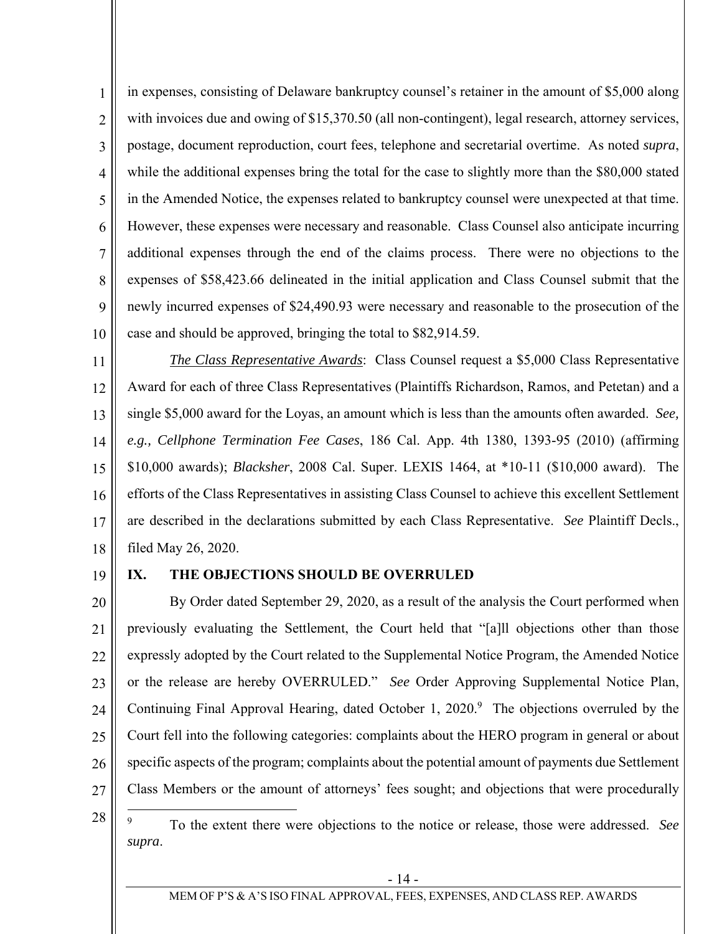1 2 3 4 5 6 7 8 9 10 in expenses, consisting of Delaware bankruptcy counsel's retainer in the amount of \$5,000 along with invoices due and owing of \$15,370.50 (all non-contingent), legal research, attorney services, postage, document reproduction, court fees, telephone and secretarial overtime. As noted *supra*, while the additional expenses bring the total for the case to slightly more than the \$80,000 stated in the Amended Notice, the expenses related to bankruptcy counsel were unexpected at that time. However, these expenses were necessary and reasonable. Class Counsel also anticipate incurring additional expenses through the end of the claims process. There were no objections to the expenses of \$58,423.66 delineated in the initial application and Class Counsel submit that the newly incurred expenses of \$24,490.93 were necessary and reasonable to the prosecution of the case and should be approved, bringing the total to \$82,914.59.

11 12 13 14 15 16 17 18 *The Class Representative Awards*: Class Counsel request a \$5,000 Class Representative Award for each of three Class Representatives (Plaintiffs Richardson, Ramos, and Petetan) and a single \$5,000 award for the Loyas, an amount which is less than the amounts often awarded. *See, e.g., Cellphone Termination Fee Cases*, 186 Cal. App. 4th 1380, 1393-95 (2010) (affirming \$10,000 awards); *Blacksher*, 2008 Cal. Super. LEXIS 1464, at \*10-11 (\$10,000 award).The efforts of the Class Representatives in assisting Class Counsel to achieve this excellent Settlement are described in the declarations submitted by each Class Representative. *See* Plaintiff Decls., filed May 26, 2020.

19

#### **IX. THE OBJECTIONS SHOULD BE OVERRULED**

20 21 22 23 24 25 26 27 By Order dated September 29, 2020, as a result of the analysis the Court performed when previously evaluating the Settlement, the Court held that "[a]ll objections other than those expressly adopted by the Court related to the Supplemental Notice Program, the Amended Notice or the release are hereby OVERRULED." *See* Order Approving Supplemental Notice Plan, Continuing Final Approval Hearing, dated October 1, 2020.<sup>9</sup> The objections overruled by the Court fell into the following categories: complaints about the HERO program in general or about specific aspects of the program; complaints about the potential amount of payments due Settlement Class Members or the amount of attorneys' fees sought; and objections that were procedurally

28 <sup>9</sup> To the extent there were objections to the notice or release, those were addressed. *See supra*.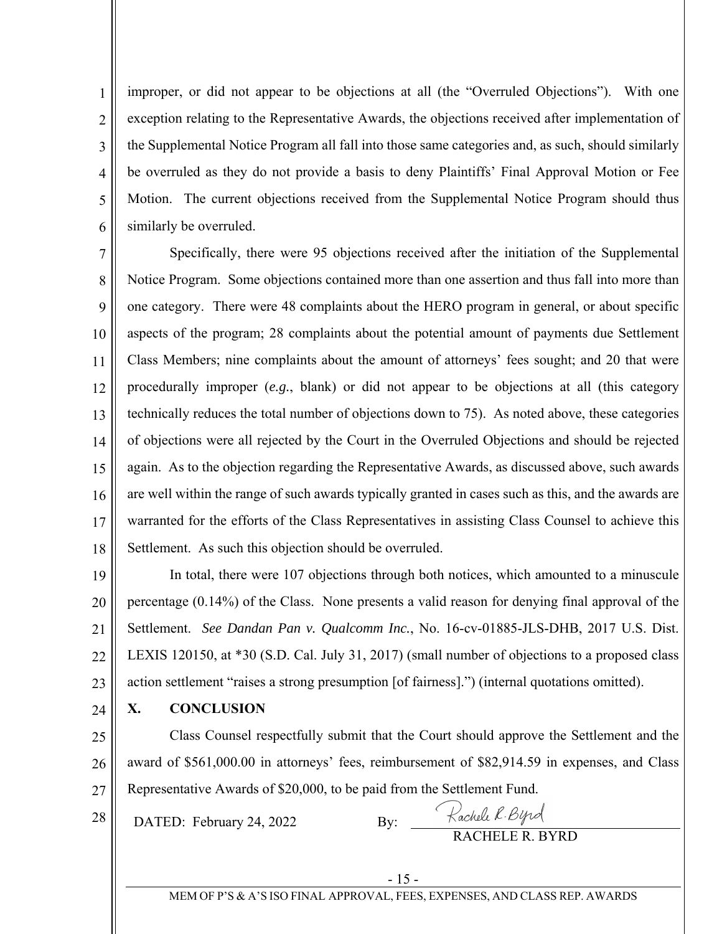1 2 3 4 5 6 improper, or did not appear to be objections at all (the "Overruled Objections"). With one exception relating to the Representative Awards, the objections received after implementation of the Supplemental Notice Program all fall into those same categories and, as such, should similarly be overruled as they do not provide a basis to deny Plaintiffs' Final Approval Motion or Fee Motion. The current objections received from the Supplemental Notice Program should thus similarly be overruled.

7 8 9 10 11 12 13 14 15 16 17 18 Specifically, there were 95 objections received after the initiation of the Supplemental Notice Program. Some objections contained more than one assertion and thus fall into more than one category. There were 48 complaints about the HERO program in general, or about specific aspects of the program; 28 complaints about the potential amount of payments due Settlement Class Members; nine complaints about the amount of attorneys' fees sought; and 20 that were procedurally improper (*e.g.*, blank) or did not appear to be objections at all (this category technically reduces the total number of objections down to 75). As noted above, these categories of objections were all rejected by the Court in the Overruled Objections and should be rejected again. As to the objection regarding the Representative Awards, as discussed above, such awards are well within the range of such awards typically granted in cases such as this, and the awards are warranted for the efforts of the Class Representatives in assisting Class Counsel to achieve this Settlement. As such this objection should be overruled.

19 20 21 22 23 In total, there were 107 objections through both notices, which amounted to a minuscule percentage (0.14%) of the Class. None presents a valid reason for denying final approval of the Settlement. *See Dandan Pan v. Qualcomm Inc.*, No. 16-cv-01885-JLS-DHB, 2017 U.S. Dist. LEXIS 120150, at \*30 (S.D. Cal. July 31, 2017) (small number of objections to a proposed class action settlement "raises a strong presumption [of fairness].") (internal quotations omitted).

24 **X. CONCLUSION**

25 26 27 Class Counsel respectfully submit that the Court should approve the Settlement and the award of \$561,000.00 in attorneys' fees, reimbursement of \$82,914.59 in expenses, and Class Representative Awards of \$20,000, to be paid from the Settlement Fund.

28 DATED: February 24, 2022

By: Rachell R. Byrd<br>RACHELE R. BYRD

MEM OF P'S & A'S ISO FINAL APPROVAL, FEES, EXPENSES, AND CLASS REP. AWARDS